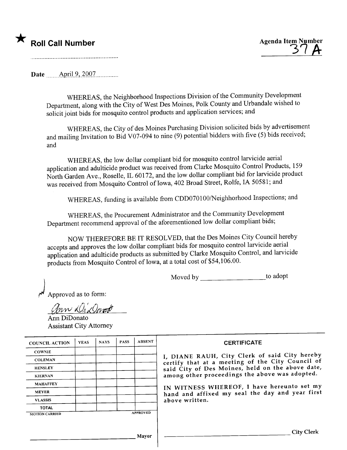## \* Roll Call Number Agenda Item Number

 $3 H$ 

. ~ ~ ~........... -....... \_........... \_........ .. \_.. \_.. -'

Date \_\_\_\_\_\_April 9, 2007

WHEREAS, the Neighborhood Inspections Division of the Community Development Department, along with the City of West Des Moines, Polk County and Urbandale wished to solicit joint bids for mosquito control products and application services; and

WHEREAS, the City of des Moines Purchasing Division solicited bids by advertisement and mailing Invitation to Bid V07-094 to nine (9) potential bidders with five (5) bids received; and

WHEREAS, the low dollar compliant bid for mosquito control larvicide aerial application and adulticide product was received from Clarke Mosquito Control Products, 159 North Garden Ave., Roselle, IL 60172, and the low dollar compliant bid for larvicide product was received from Mosquito Control of Iowa, 402 Broad Street, Rolfe, IA 50581; and

WHEREAS, funding is available from CDD070100/Neighhorhood Inspections; and

WHEREAS, the Procurement Administrator and the Community Development Department recommend approval of the aforementioned low dollar compliant bids;

NOW THEREFORE BE IT RESOLVED, that the Des Moines City Council hereby accepts and approves the low dollar compliant bids for mosquito control larvicide aerial application and adulticide products as submitted by Clarke Mosquito Control, and larvicide products from Mosquito Control of Iowa, at a total cost of \$54,106.00.

Moved by \_\_\_\_\_\_\_\_\_\_\_\_\_\_\_\_\_\_\_\_\_\_\_\_\_to adopt

) Approved as to form:

pproved as to for<br>  $\mathcal{U} \subset \mathcal{U}$ <u>Elmw Wildeman</u>

Ann DiDonato Assistant City Attorney

| <b>COUNCIL ACTION</b> | <b>YEAS</b> | <b>NAYS</b> | <b>PASS</b> | <b>ABSENT</b>   | <b>CERTIFICATE</b>                                                                                |
|-----------------------|-------------|-------------|-------------|-----------------|---------------------------------------------------------------------------------------------------|
|                       |             |             |             |                 |                                                                                                   |
| <b>COWNIE</b>         |             |             |             |                 |                                                                                                   |
| <b>COLEMAN</b>        |             |             |             |                 | I, DIANE RAUH, City Clerk of said City hereby<br>certify that at a meeting of the City Council of |
| <b>HENSLEY</b>        |             |             |             |                 | said City of Des Moines, held on the above date,                                                  |
| <b>KIERNAN</b>        |             |             |             |                 | among other proceedings the above was adopted.                                                    |
| <b>MAHAFFEY</b>       |             |             |             |                 | IN WITNESS WHEREOF, I have hereunto set my                                                        |
| <b>MEYER</b>          |             |             |             |                 | hand and affixed my seal the day and year first                                                   |
| <b>VLASSIS</b>        |             |             |             |                 | above written.                                                                                    |
| <b>TOTAL</b>          |             |             |             |                 |                                                                                                   |
| <b>MOTION CARRIED</b> |             |             |             | <b>APPROVED</b> |                                                                                                   |
|                       |             |             |             |                 |                                                                                                   |
|                       |             |             |             | Mayor           | <b>City Clerk</b>                                                                                 |